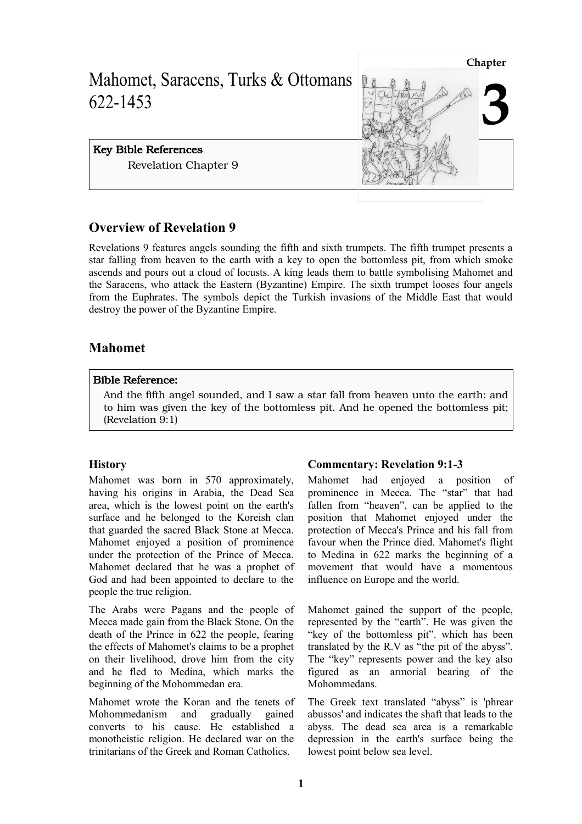

# **Overview of Revelation 9**

Revelations 9 features angels sounding the fifth and sixth trumpets. The fifth trumpet presents a star falling from heaven to the earth with a key to open the bottomless pit, from which smoke ascends and pours out a cloud of locusts. A king leads them to battle symbolising Mahomet and the Saracens, who attack the Eastern (Byzantine) Empire. The sixth trumpet looses four angels from the Euphrates. The symbols depict the Turkish invasions of the Middle East that would destroy the power of the Byzantine Empire.

# **Mahomet**

## Bible Reference:

And the fifth angel sounded, and I saw a star fall from heaven unto the earth: and to him was given the key of the bottomless pit. And he opened the bottomless pit; (Revelation 9:1)

# **History**

Mahomet was born in 570 approximately, having his origins in Arabia, the Dead Sea area, which is the lowest point on the earth's surface and he belonged to the Koreish clan that guarded the sacred Black Stone at Mecca. Mahomet enjoyed a position of prominence under the protection of the Prince of Mecca. Mahomet declared that he was a prophet of God and had been appointed to declare to the people the true religion.

The Arabs were Pagans and the people of Mecca made gain from the Black Stone. On the death of the Prince in 622 the people, fearing the effects of Mahomet's claims to be a prophet on their livelihood, drove him from the city and he fled to Medina, which marks the beginning of the Mohommedan era.

Mahomet wrote the Koran and the tenets of Mohommedanism and gradually gained converts to his cause. He established a monotheistic religion. He declared war on the trinitarians of the Greek and Roman Catholics.

# **Commentary: Revelation 9:1-3**

Mahomet had enjoyed a position of prominence in Mecca. The "star" that had fallen from "heaven", can be applied to the position that Mahomet enjoyed under the protection of Mecca's Prince and his fall from favour when the Prince died. Mahomet's flight to Medina in 622 marks the beginning of a movement that would have a momentous influence on Europe and the world.

Mahomet gained the support of the people, represented by the "earth". He was given the "key of the bottomless pit". which has been translated by the R.V as "the pit of the abyss". The "key" represents power and the key also figured as an armorial bearing of the Mohommedans.

The Greek text translated "abyss" is 'phrear abussos' and indicates the shaft that leads to the abyss. The dead sea area is a remarkable depression in the earth's surface being the lowest point below sea level.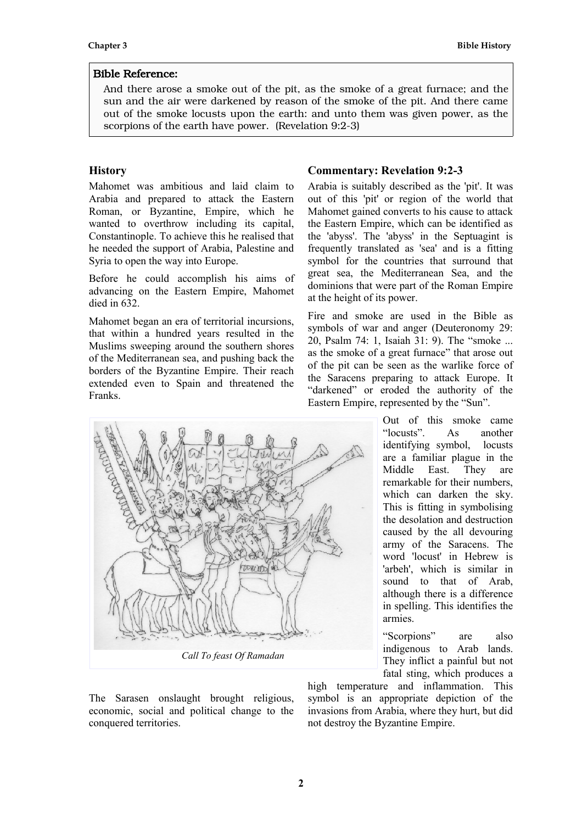And there arose a smoke out of the pit, as the smoke of a great furnace; and the sun and the air were darkened by reason of the smoke of the pit. And there came out of the smoke locusts upon the earth: and unto them was given power, as the scorpions of the earth have power. (Revelation 9:2-3)

## **History**

Mahomet was ambitious and laid claim to Arabia and prepared to attack the Eastern Roman, or Byzantine, Empire, which he wanted to overthrow including its capital, Constantinople. To achieve this he realised that he needed the support of Arabia, Palestine and Syria to open the way into Europe.

Before he could accomplish his aims of advancing on the Eastern Empire, Mahomet died in 632.

Mahomet began an era of territorial incursions, that within a hundred years resulted in the Muslims sweeping around the southern shores of the Mediterranean sea, and pushing back the borders of the Byzantine Empire. Their reach extended even to Spain and threatened the Franks.

# **Commentary: Revelation 9:2-3**

Arabia is suitably described as the 'pit'. It was out of this 'pit' or region of the world that Mahomet gained converts to his cause to attack the Eastern Empire, which can be identified as the 'abyss'. The 'abyss' in the Septuagint is frequently translated as 'sea' and is a fitting symbol for the countries that surround that great sea, the Mediterranean Sea, and the dominions that were part of the Roman Empire at the height of its power.

Fire and smoke are used in the Bible as symbols of war and anger (Deuteronomy 29: 20, Psalm 74: 1, Isaiah 31: 9). The "smoke ... as the smoke of a great furnace" that arose out of the pit can be seen as the warlike force of the Saracens preparing to attack Europe. It "darkened" or eroded the authority of the Eastern Empire, represented by the "Sun".

> Out of this smoke came "locusts". As another identifying symbol, locusts are a familiar plague in the Middle East. They are remarkable for their numbers, which can darken the sky. This is fitting in symbolising the desolation and destruction caused by the all devouring army of the Saracens. The word 'locust' in Hebrew is 'arbeh', which is similar in sound to that of Arab, although there is a difference in spelling. This identifies the armies.

> "Scorpions" are also indigenous to Arab lands. They inflict a painful but not fatal sting, which produces a

The Sarasen onslaught brought religious, economic, social and political change to the conquered territories.

high temperature and inflammation. This symbol is an appropriate depiction of the invasions from Arabia, where they hurt, but did not destroy the Byzantine Empire.

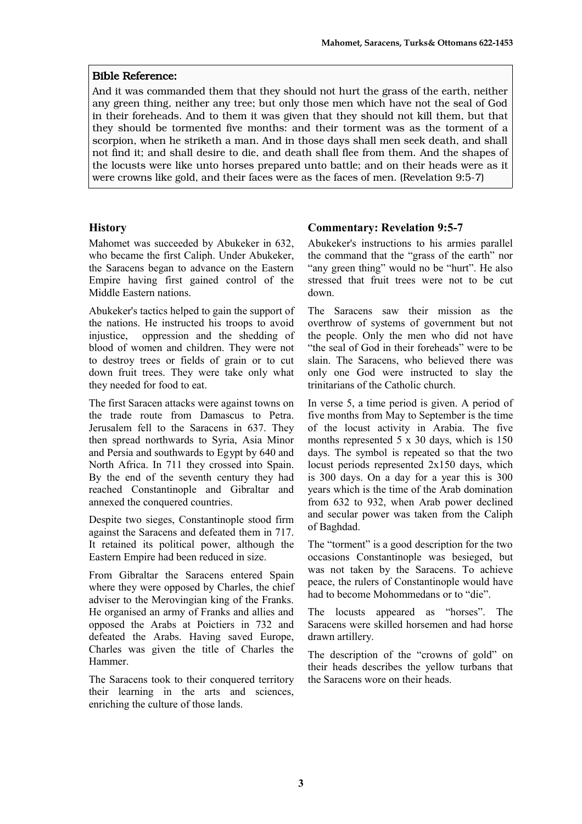And it was commanded them that they should not hurt the grass of the earth, neither any green thing, neither any tree; but only those men which have not the seal of God in their foreheads. And to them it was given that they should not kill them, but that they should be tormented five months: and their torment was as the torment of a scorpion, when he striketh a man. And in those days shall men seek death, and shall not find it; and shall desire to die, and death shall flee from them. And the shapes of the locusts were like unto horses prepared unto battle; and on their heads were as it were crowns like gold, and their faces were as the faces of men. (Revelation 9:5-7)

## **History**

Mahomet was succeeded by Abukeker in 632, who became the first Caliph. Under Abukeker, the Saracens began to advance on the Eastern Empire having first gained control of the Middle Eastern nations.

Abukeker's tactics helped to gain the support of the nations. He instructed his troops to avoid injustice, oppression and the shedding of blood of women and children. They were not to destroy trees or fields of grain or to cut down fruit trees. They were take only what they needed for food to eat.

The first Saracen attacks were against towns on the trade route from Damascus to Petra. Jerusalem fell to the Saracens in 637. They then spread northwards to Syria, Asia Minor and Persia and southwards to Egypt by 640 and North Africa. In 711 they crossed into Spain. By the end of the seventh century they had reached Constantinople and Gibraltar and annexed the conquered countries.

Despite two sieges, Constantinople stood firm against the Saracens and defeated them in 717. It retained its political power, although the Eastern Empire had been reduced in size.

From Gibraltar the Saracens entered Spain where they were opposed by Charles, the chief adviser to the Merovingian king of the Franks. He organised an army of Franks and allies and opposed the Arabs at Poictiers in 732 and defeated the Arabs. Having saved Europe, Charles was given the title of Charles the Hammer.

The Saracens took to their conquered territory their learning in the arts and sciences, enriching the culture of those lands.

# **Commentary: Revelation 9:5-7**

Abukeker's instructions to his armies parallel the command that the "grass of the earth" nor "any green thing" would no be "hurt". He also stressed that fruit trees were not to be cut down.

The Saracens saw their mission as the overthrow of systems of government but not the people. Only the men who did not have "the seal of God in their foreheads" were to be slain. The Saracens, who believed there was only one God were instructed to slay the trinitarians of the Catholic church.

In verse 5, a time period is given. A period of five months from May to September is the time of the locust activity in Arabia. The five months represented 5 x 30 days, which is 150 days. The symbol is repeated so that the two locust periods represented 2x150 days, which is 300 days. On a day for a year this is 300 years which is the time of the Arab domination from 632 to 932, when Arab power declined and secular power was taken from the Caliph of Baghdad.

The "torment" is a good description for the two occasions Constantinople was besieged, but was not taken by the Saracens. To achieve peace, the rulers of Constantinople would have had to become Mohommedans or to "die".

The locusts appeared as "horses". The Saracens were skilled horsemen and had horse drawn artillery.

The description of the "crowns of gold" on their heads describes the yellow turbans that the Saracens wore on their heads.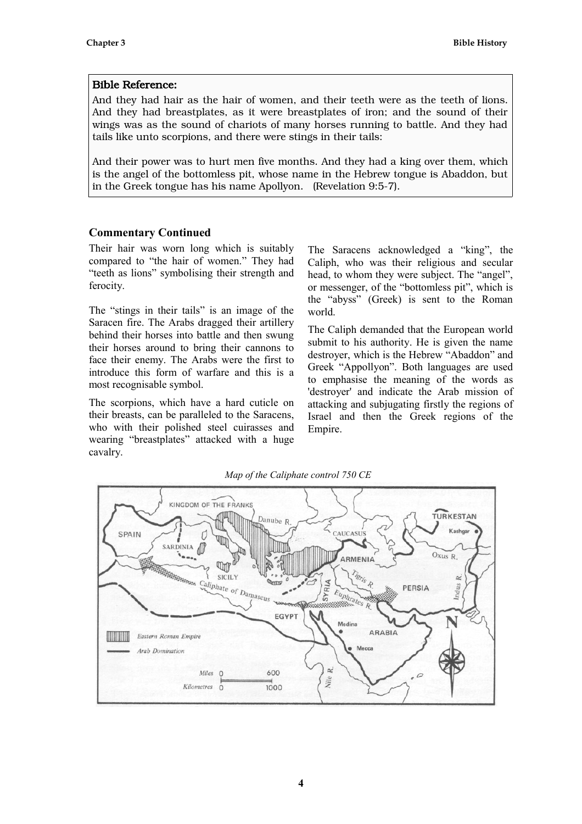And they had hair as the hair of women, and their teeth were as the teeth of lions. And they had breastplates, as it were breastplates of iron; and the sound of their wings was as the sound of chariots of many horses running to battle. And they had tails like unto scorpions, and there were stings in their tails:

And their power was to hurt men five months. And they had a king over them, which is the angel of the bottomless pit, whose name in the Hebrew tongue is Abaddon, but in the Greek tongue has his name Apollyon. (Revelation 9:5-7).

## **Commentary Continued**

Their hair was worn long which is suitably compared to "the hair of women." They had "teeth as lions" symbolising their strength and ferocity.

The "stings in their tails" is an image of the Saracen fire. The Arabs dragged their artillery behind their horses into battle and then swung their horses around to bring their cannons to face their enemy. The Arabs were the first to introduce this form of warfare and this is a most recognisable symbol.

The scorpions, which have a hard cuticle on their breasts, can be paralleled to the Saracens, who with their polished steel cuirasses and wearing "breastplates" attacked with a huge cavalry.

The Saracens acknowledged a "king", the Caliph, who was their religious and secular head, to whom they were subject. The "angel", or messenger, of the "bottomless pit", which is the "abyss" (Greek) is sent to the Roman world.

The Caliph demanded that the European world submit to his authority. He is given the name destroyer, which is the Hebrew "Abaddon" and Greek "Appollyon". Both languages are used to emphasise the meaning of the words as 'destroyer' and indicate the Arab mission of attacking and subjugating firstly the regions of Israel and then the Greek regions of the Empire.



*Map of the Caliphate control 750 CE*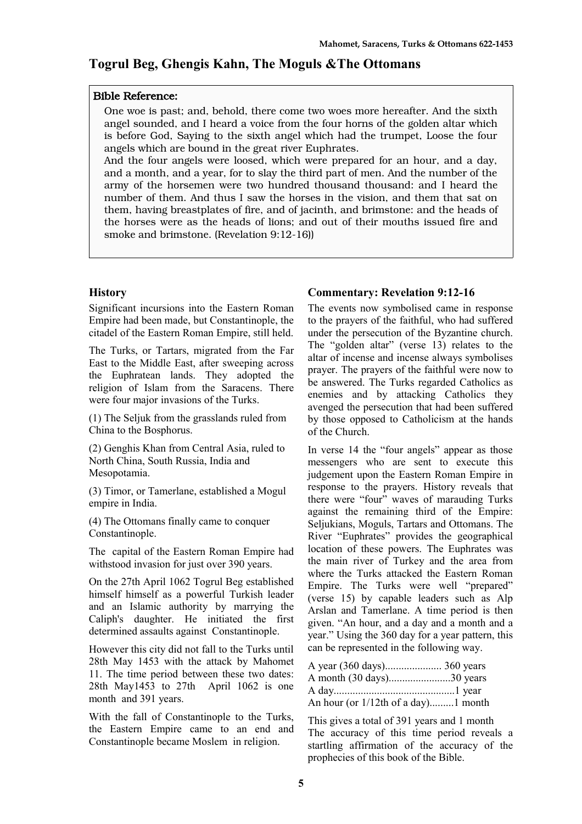# **Togrul Beg, Ghengis Kahn, The Moguls &The Ottomans**

## Bible Reference:

One woe is past; and, behold, there come two woes more hereafter. And the sixth angel sounded, and I heard a voice from the four horns of the golden altar which is before God, Saying to the sixth angel which had the trumpet, Loose the four angels which are bound in the great river Euphrates.

And the four angels were loosed, which were prepared for an hour, and a day, and a month, and a year, for to slay the third part of men. And the number of the army of the horsemen were two hundred thousand thousand: and I heard the number of them. And thus I saw the horses in the vision, and them that sat on them, having breastplates of fire, and of jacinth, and brimstone: and the heads of the horses were as the heads of lions; and out of their mouths issued fire and smoke and brimstone. (Revelation 9:12-16))

## **History**

Significant incursions into the Eastern Roman Empire had been made, but Constantinople, the citadel of the Eastern Roman Empire, still held.

The Turks, or Tartars, migrated from the Far East to the Middle East, after sweeping across the Euphratean lands. They adopted the religion of Islam from the Saracens. There were four major invasions of the Turks.

(1) The Seljuk from the grasslands ruled from China to the Bosphorus.

(2) Genghis Khan from Central Asia, ruled to North China, South Russia, India and Mesopotamia.

(3) Timor, or Tamerlane, established a Mogul empire in India.

(4) The Ottomans finally came to conquer Constantinople.

The capital of the Eastern Roman Empire had withstood invasion for just over 390 years.

On the 27th April 1062 Togrul Beg established himself himself as a powerful Turkish leader and an Islamic authority by marrying the Caliph's daughter. He initiated the first determined assaults against Constantinople.

However this city did not fall to the Turks until 28th May 1453 with the attack by Mahomet 11. The time period between these two dates: 28th May1453 to 27th April 1062 is one month and 391 years.

With the fall of Constantinople to the Turks, the Eastern Empire came to an end and Constantinople became Moslem in religion.

## **Commentary: Revelation 9:12-16**

The events now symbolised came in response to the prayers of the faithful, who had suffered under the persecution of the Byzantine church. The "golden altar" (verse 13) relates to the altar of incense and incense always symbolises prayer. The prayers of the faithful were now to be answered. The Turks regarded Catholics as enemies and by attacking Catholics they avenged the persecution that had been suffered by those opposed to Catholicism at the hands of the Church.

In verse 14 the "four angels" appear as those messengers who are sent to execute this judgement upon the Eastern Roman Empire in response to the prayers. History reveals that there were "four" waves of marauding Turks against the remaining third of the Empire: Seljukians, Moguls, Tartars and Ottomans. The River "Euphrates" provides the geographical location of these powers. The Euphrates was the main river of Turkey and the area from where the Turks attacked the Eastern Roman Empire. The Turks were well "prepared" (verse 15) by capable leaders such as Alp Arslan and Tamerlane. A time period is then given. "An hour, and a day and a month and a year." Using the 360 day for a year pattern, this can be represented in the following way.

| A month (30 days)30 years           |  |
|-------------------------------------|--|
|                                     |  |
| An hour (or 1/12th of a day)1 month |  |

This gives a total of 391 years and 1 month The accuracy of this time period reveals a startling affirmation of the accuracy of the prophecies of this book of the Bible.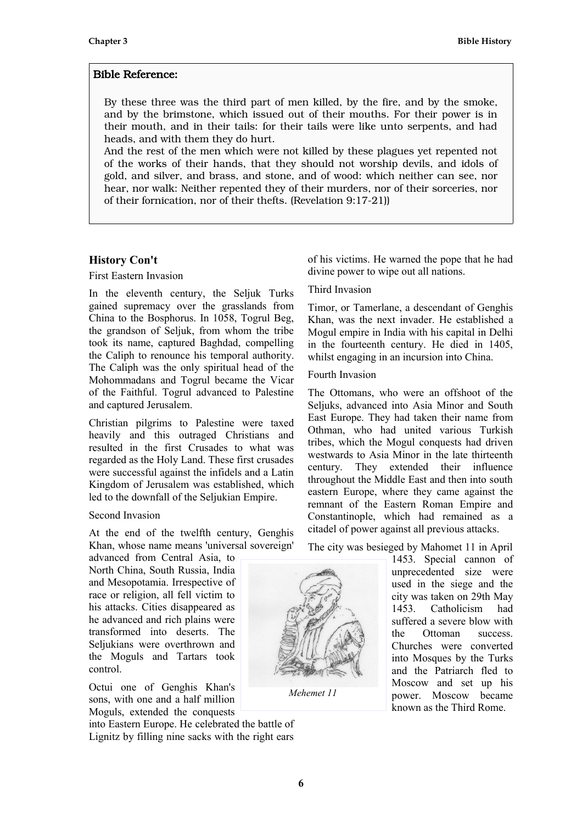By these three was the third part of men killed, by the fire, and by the smoke, and by the brimstone, which issued out of their mouths. For their power is in their mouth, and in their tails: for their tails were like unto serpents, and had heads, and with them they do hurt.

And the rest of the men which were not killed by these plagues yet repented not of the works of their hands, that they should not worship devils, and idols of gold, and silver, and brass, and stone, and of wood: which neither can see, nor hear, nor walk: Neither repented they of their murders, nor of their sorceries, nor of their fornication, nor of their thefts. (Revelation 9:17-21))

## **History Con't**

### First Eastern Invasion

In the eleventh century, the Seljuk Turks gained supremacy over the grasslands from China to the Bosphorus. In 1058, Togrul Beg, the grandson of Seljuk, from whom the tribe took its name, captured Baghdad, compelling the Caliph to renounce his temporal authority. The Caliph was the only spiritual head of the Mohommadans and Togrul became the Vicar of the Faithful. Togrul advanced to Palestine and captured Jerusalem.

Christian pilgrims to Palestine were taxed heavily and this outraged Christians and resulted in the first Crusades to what was regarded as the Holy Land. These first crusades were successful against the infidels and a Latin Kingdom of Jerusalem was established, which led to the downfall of the Seljukian Empire.

#### Second Invasion

At the end of the twelfth century, Genghis Khan, whose name means 'universal sovereign'

advanced from Central Asia, to North China, South Russia, India and Mesopotamia. Irrespective of race or religion, all fell victim to his attacks. Cities disappeared as he advanced and rich plains were transformed into deserts. The Seljukians were overthrown and the Moguls and Tartars took control.

Octui one of Genghis Khan's sons, with one and a half million Moguls, extended the conquests

into Eastern Europe. He celebrated the battle of Lignitz by filling nine sacks with the right ears

of his victims. He warned the pope that he had divine power to wipe out all nations.

## Third Invasion

Timor, or Tamerlane, a descendant of Genghis Khan, was the next invader. He established a Mogul empire in India with his capital in Delhi in the fourteenth century. He died in 1405, whilst engaging in an incursion into China.

#### Fourth Invasion

The Ottomans, who were an offshoot of the Seljuks, advanced into Asia Minor and South East Europe. They had taken their name from Othman, who had united various Turkish tribes, which the Mogul conquests had driven westwards to Asia Minor in the late thirteenth century. They extended their influence throughout the Middle East and then into south eastern Europe, where they came against the remnant of the Eastern Roman Empire and Constantinople, which had remained as a citadel of power against all previous attacks.

The city was besieged by Mahomet 11 in April

1453. Special cannon of unprecedented size were used in the siege and the city was taken on 29th May 1453. Catholicism had suffered a severe blow with the Ottoman success. Churches were converted into Mosques by the Turks and the Patriarch fled to Moscow and set up his power. Moscow became known as the Third Rome.